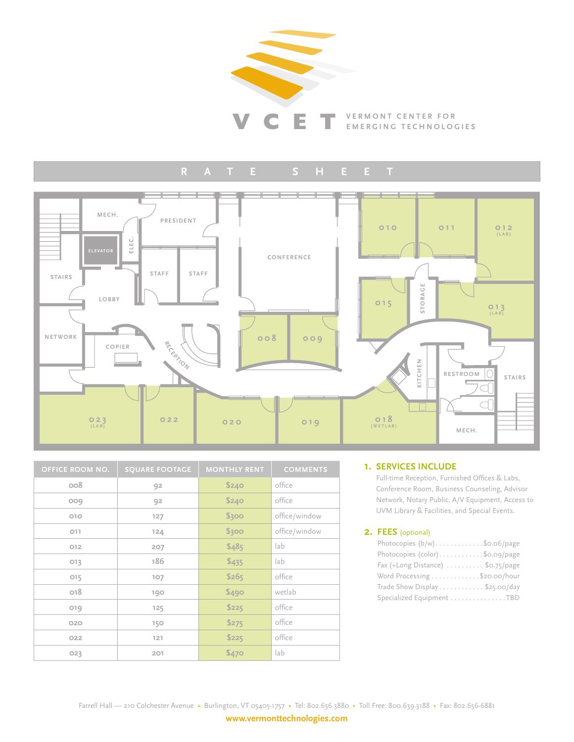

#### $\mathbb H$  $\mathbf{A}$



| <b>OFFICE ROOM NO.</b> | <b>SQUARE FOOTAGE</b> | <b>MONTHLY RENT</b> | <b>COMMENTS</b> |
|------------------------|-----------------------|---------------------|-----------------|
| 800                    | 92                    | \$240               | office          |
| 009                    | 92                    | \$240               | office          |
| OIO                    | 127                   | \$300               | office/window   |
| O11                    | 124                   | \$300               | office/window   |
| 012                    | 207                   | \$485               | lab             |
| 013                    | 186                   | \$435               | lab             |
| 015                    | 107                   | \$265               | office          |
| O <sub>18</sub>        | 190                   | \$490               | wetlab          |
| 019                    | 125                   | \$225               | office          |
| 020                    | 150                   | \$275               | office          |
| 022                    | 121                   | \$225               | office          |
| 023                    | 201                   | \$470               | lab             |

#### **1. SERVICES INCLUDE**

Full-time Reception, Furnished Offices & Labs, Conference Room, Business Counseling, Advisor Network, Notary Public, A/V Equipment, Access to UVM Library & Facilities, and Special Events.

#### 2. FEES (optional)

| Photocopies (b/w)\$0.06/page                            |
|---------------------------------------------------------|
| Photocopies (color)\$0.09/page                          |
| Fax (+Long Distance) $\ldots \ldots \ldots$ \$0.75/page |
| Word Processing \$20.00/hour                            |
| Trade Show Display \$25.00/day                          |
| Specialized Equipment TBD                               |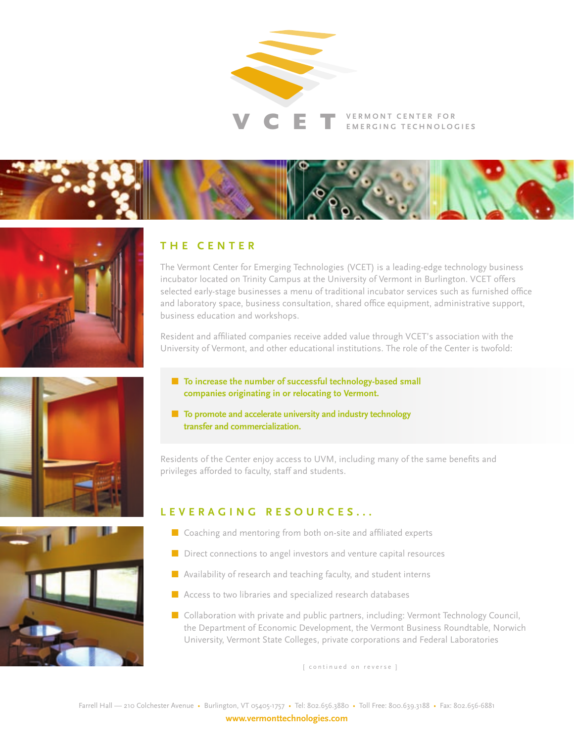

# $\mathbf V$   $\mathbf C$   $\mathbf E$   $\mathbf T$  vermont center for









# **T H E C E N T E R**

The Vermont Center for Emerging Technologies (VCET) is a leading-edge technology business incubator located on Trinity Campus at the University of Vermont in Burlington. VCET offers selected early-stage businesses a menu of traditional incubator services such as furnished office and laboratory space, business consultation, shared office equipment, administrative support, business education and workshops.

Resident and affiliated companies receive added value through VCET's association with the University of Vermont, and other educational institutions. The role of the Center is twofold:

- To increase the number of successful technology-based small **companies originating in or relocating to Vermont.**
- **To promote and accelerate university and industry technology transfer and commercialization.**

Residents of the Center enjoy access to UVM, including many of the same benefits and privileges afforded to faculty, staff and students.

# **L E V E R A G I N G R E S O U R C E S . . .**

- Coaching and mentoring from both on-site and affiliated experts
- Direct connections to angel investors and venture capital resources
- **Availability of research and teaching faculty, and student interns**
- **Access to two libraries and specialized research databases**
- $\blacksquare$  Collaboration with private and public partners, including: Vermont Technology Council, the Department of Economic Development, the Vermont Business Roundtable, Norwich University, Vermont State Colleges, private corporations and Federal Laboratories

[ continued on reverse ]